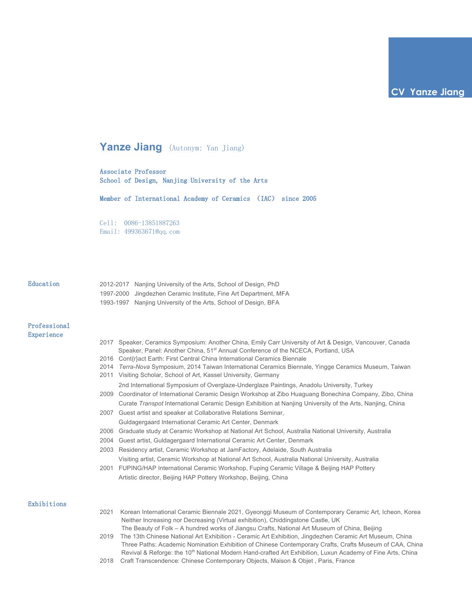# **Yanze Jiang** (Autonym: Yan Jiang)

Associate Professor School of Design, Nanjing University of the Arts

Member of International Academy of Ceramics (IAC) since 2005

Cell: 0086-13851887263 Email: 499363671@qq.com

## Education

| 2012-2017 Nanjing University of the Arts, School of Design, PhD  |
|------------------------------------------------------------------|
| 1997-2000 Jingdezhen Ceramic Institute, Fine Art Department, MFA |
| 1993-1997 Nanjing University of the Arts, School of Design, BFA  |

# Professional Experience

- 2017 Speaker, Ceramics Symposium: Another China, Emily Carr University of Art & Design, Vancouver, Canada Speaker, Panel: Another China, 51<sup>st</sup> Annual Conference of the NCECA, Portland, USA
- 2016 Cont{r}act Earth: First Central China International Ceramics Biennale
- 2014 *Terra-Nova* Symposium, 2014 Taiwan International Ceramics Biennale, Yingge Ceramics Museum, Taiwan
- 2011 Visiting Scholar, School of Art, Kassel University, Germany
	- 2nd International Symposium of Overglaze-Underglaze Paintings, Anadolu University, Turkey
- 2009 Coordinator of International Ceramic Design Workshop at Zibo Huaguang Bonechina Company, Zibo, China Curate *Transpot* International Ceramic Design Exhibition at Nanjing University of the Arts, Nanjing, China
- 2007 Guest artist and speaker at Collaborative Relations Seminar, Guldagergaard International Ceramic Art Center, Denmark
- 2006 Graduate study at Ceramic Workshop at National Art School, Australia National University, Australia
- 2004 Guest artist, Guldagergaard International Ceramic Art Center, Denmark
- 2003 Residency artist, Ceramic Workshop at JamFactory, Adelaide, South Australia Visiting artist, Ceramic Workshop at National Art School, Australia National University, Australia
- 2001 FUPING/HAP International Ceramic Workshop, Fuping Ceramic Village & Beijing HAP Pottery Artistic director, Beijing HAP Pottery Workshop, Beijing, China

## Exhibitions

- 2021 Korean International Ceramic Biennale 2021, Gyeonggi Museum of Contemporary Ceramic Art, Icheon, Korea Neither Increasing nor Decreasing (Virtual exhibition), Chiddingstone Castle, UK The Beauty of Folk – A hundred works of Jiangsu Crafts, National Art Museum of China, Beijing
- 2019 The 13th Chinese National Art Exhibition Ceramic Art Exhibition, Jingdezhen Ceramic Art Museum, China Three Paths: Academic Nomination Exhibition of Chinese Contemporary Crafts, Crafts Museum of CAA, China Revival & Reforge: the 10<sup>th</sup> National Modern Hand-crafted Art Exhibition, Luxun Academy of Fine Arts, China
- 2018 Craft Transcendence: Chinese Contemporary Objects, Maison & Objet , Paris, France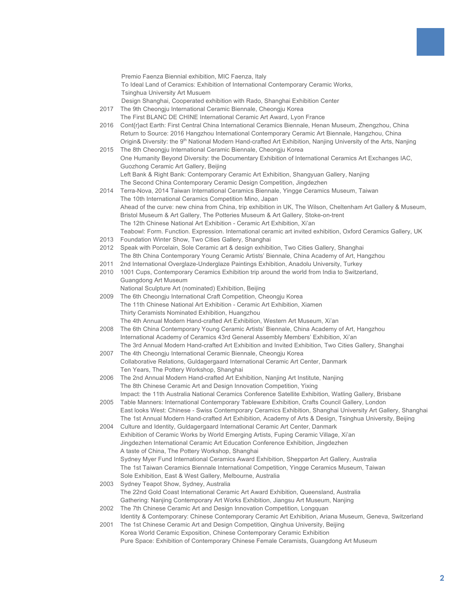|      | Premio Faenza Biennial exhibition, MIC Faenza, Italy                                                                                                                                                                            |
|------|---------------------------------------------------------------------------------------------------------------------------------------------------------------------------------------------------------------------------------|
|      | To Ideal Land of Ceramics: Exhibition of International Contemporary Ceramic Works,                                                                                                                                              |
|      | <b>Tsinghua University Art Musuem</b>                                                                                                                                                                                           |
|      | Design Shanghai, Cooperated exhibition with Rado, Shanghai Exhibition Center                                                                                                                                                    |
| 2017 | The 9th Cheongju International Ceramic Biennale, Cheongju Korea                                                                                                                                                                 |
|      | The First BLANC DE CHINE International Ceramic Art Award, Lyon France                                                                                                                                                           |
| 2016 | Cont{r}act Earth: First Central China International Ceramics Biennale, Henan Museum, Zhengzhou, China                                                                                                                           |
|      | Return to Source: 2016 Hangzhou International Contemporary Ceramic Art Biennale, Hangzhou, China<br>Origin& Diversity: the 9 <sup>th</sup> National Modern Hand-crafted Art Exhibition, Nanjing University of the Arts, Nanjing |
| 2015 | The 8th Cheongju International Ceramic Biennale, Cheongju Korea                                                                                                                                                                 |
|      | One Humanity Beyond Diversity: the Documentary Exhibition of International Ceramics Art Exchanges IAC,                                                                                                                          |
|      | Guozhong Ceramic Art Gallery, Beijing                                                                                                                                                                                           |
|      | Left Bank & Right Bank: Contemporary Ceramic Art Exhibition, Shangyuan Gallery, Nanjing                                                                                                                                         |
|      | The Second China Contemporary Ceramic Design Competition, Jingdezhen                                                                                                                                                            |
| 2014 | Terra-Nova, 2014 Taiwan International Ceramics Biennale, Yingge Ceramics Museum, Taiwan                                                                                                                                         |
|      | The 10th International Ceramics Competition Mino, Japan                                                                                                                                                                         |
|      | Ahead of the curve: new china from China, trip exhibition in UK, The Wilson, Cheltenham Art Gallery & Museum,                                                                                                                   |
|      | Bristol Museum & Art Gallery, The Potteries Museum & Art Gallery, Stoke-on-trent                                                                                                                                                |
|      | The 12th Chinese National Art Exhibition - Ceramic Art Exhibition, Xi'an<br>Teabowl: Form. Function. Expression. International ceramic art invited exhibition, Oxford Ceramics Gallery, UK                                      |
| 2013 | Foundation Winter Show, Two Cities Gallery, Shanghai                                                                                                                                                                            |
| 2012 | Speak with Porcelain, Sole Ceramic art & design exhibition, Two Cities Gallery, Shanghai                                                                                                                                        |
|      | The 8th China Contemporary Young Ceramic Artists' Biennale, China Academy of Art, Hangzhou                                                                                                                                      |
| 2011 | 2nd International Overglaze-Underglaze Paintings Exhibition, Anadolu University, Turkey                                                                                                                                         |
| 2010 | 1001 Cups, Contemporary Ceramics Exhibition trip around the world from India to Switzerland,                                                                                                                                    |
|      | Guangdong Art Museum                                                                                                                                                                                                            |
|      | National Sculpture Art (nominated) Exhibition, Beijing                                                                                                                                                                          |
| 2009 | The 6th Cheongju International Craft Competition, Cheongju Korea                                                                                                                                                                |
|      | The 11th Chinese National Art Exhibition - Ceramic Art Exhibition, Xiamen<br>Thirty Ceramists Nominated Exhibition, Huangzhou                                                                                                   |
|      | The 4th Annual Modern Hand-crafted Art Exhibition, Western Art Museum, Xi'an                                                                                                                                                    |
| 2008 | The 6th China Contemporary Young Ceramic Artists' Biennale, China Academy of Art, Hangzhou                                                                                                                                      |
|      | International Academy of Ceramics 43rd General Assembly Members' Exhibition, Xi'an                                                                                                                                              |
|      | The 3rd Annual Modern Hand-crafted Art Exhibition and Invited Exhibition, Two Cities Gallery, Shanghai                                                                                                                          |
| 2007 | The 4th Cheongju International Ceramic Biennale, Cheongju Korea                                                                                                                                                                 |
|      | Collaborative Relations, Guldagergaard International Ceramic Art Center, Danmark                                                                                                                                                |
|      | Ten Years, The Pottery Workshop, Shanghai                                                                                                                                                                                       |
| 2006 | The 2nd Annual Modern Hand-crafted Art Exhibition, Nanjing Art Institute, Nanjing<br>The 8th Chinese Ceramic Art and Design Innovation Competition, Yixing                                                                      |
|      | Impact: the 11th Australia National Ceramics Conference Satellite Exhibition, Watling Gallery, Brisbane                                                                                                                         |
| 2005 | Table Manners: International Contemporary Tableware Exhibition, Crafts Council Gallery, London                                                                                                                                  |
|      | East looks West: Chinese - Swiss Contemporary Ceramics Exhibition, Shanghai University Art Gallery, Shanghai                                                                                                                    |
|      | The 1st Annual Modern Hand-crafted Art Exhibition, Academy of Arts & Design, Tsinghua University, Beijing                                                                                                                       |
| 2004 | Culture and Identity, Guldagergaard International Ceramic Art Center, Danmark                                                                                                                                                   |
|      | Exhibition of Ceramic Works by World Emerging Artists, Fuping Ceramic Village, Xi'an                                                                                                                                            |
|      | Jingdezhen International Ceramic Art Education Conference Exhibition, Jingdezhen                                                                                                                                                |
|      | A taste of China, The Pottery Workshop, Shanghai<br>Sydney Myer Fund International Ceramics Award Exhibition, Shepparton Art Gallery, Australia                                                                                 |
|      | The 1st Taiwan Ceramics Biennale International Competition, Yingge Ceramics Museum, Taiwan                                                                                                                                      |
|      | Sole Exhibition, East & West Gallery, Melbourne, Australia                                                                                                                                                                      |
| 2003 | Sydney Teapot Show, Sydney, Australia                                                                                                                                                                                           |
|      | The 22nd Gold Coast International Ceramic Art Award Exhibition, Queensland, Australia                                                                                                                                           |
|      | Gathering: Nanjing Contemporary Art Works Exhibition, Jiangsu Art Museum, Nanjing                                                                                                                                               |
| 2002 | The 7th Chinese Ceramic Art and Design Innovation Competition, Longquan                                                                                                                                                         |
|      | Identity & Contemporary: Chinese Contemporary Ceramic Art Exhibition, Ariana Museum, Geneva, Switzerland                                                                                                                        |
| 2001 | The 1st Chinese Ceramic Art and Design Competition, Qinghua University, Beijing<br>Korea World Ceramic Exposition, Chinese Contemporary Ceramic Exhibition                                                                      |
|      |                                                                                                                                                                                                                                 |

Pure Space: Exhibition of Contemporary Chinese Female Ceramists, Guangdong Art Museum